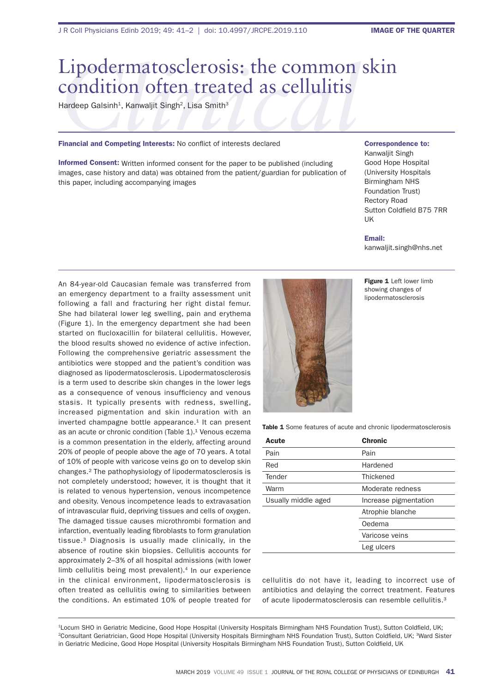# Lipodermatosclerosis: the common skin<br>
condition often treated as cellulitis<br>
Hardeep Galsinh<sup>1</sup>, Kanwaljit Singh<sup>2</sup>, Lisa Smith<sup>3</sup><br>
Financial and Competing Interests: No conflict of interests declared correspond condition often treated as cellulitis

Hardeep Galsinh<sup>1</sup>, Kanwaljit Singh<sup>2</sup>, Lisa Smith<sup>3</sup>

### Financial and Competing Interests: No conflict of interests declared

Informed Consent: Written informed consent for the paper to be published (including images, case history and data) was obtained from the patient/guardian for publication of this paper, including accompanying images

## Correspondence to:

Kanwaljit Singh Good Hope Hospital (University Hospitals Birmingham NHS Foundation Trust) Rectory Road Sutton Coldfield B75 7RR UK

### Email:

kanwaljit.singh@nhs.net

An 84-year-old Caucasian female was transferred from an emergency department to a frailty assessment unit following a fall and fracturing her right distal femur. She had bilateral lower leg swelling, pain and erythema (Figure 1). In the emergency department she had been started on flucloxacillin for bilateral cellulitis. However, the blood results showed no evidence of active infection. Following the comprehensive geriatric assessment the antibiotics were stopped and the patient's condition was diagnosed as lipodermatosclerosis. Lipodermatosclerosis is a term used to describe skin changes in the lower legs as a consequence of venous insufficiency and venous stasis. It typically presents with redness, swelling, increased pigmentation and skin induration with an inverted champagne bottle appearance.<sup>1</sup> It can present as an acute or chronic condition (Table 1).<sup>1</sup> Venous eczema is a common presentation in the elderly, affecting around 20% of people of people above the age of 70 years. A total of 10% of people with varicose veins go on to develop skin changes.² The pathophysiology of lipodermatosclerosis is not completely understood; however, it is thought that it is related to venous hypertension, venous incompetence and obesity. Venous incompetence leads to extravasation of intravascular fluid, depriving tissues and cells of oxygen. The damaged tissue causes microthrombi formation and infarction, eventually leading fibroblasts to form granulation tissue.³ Diagnosis is usually made clinically, in the absence of routine skin biopsies. Cellulitis accounts for approximately 2–3% of all hospital admissions (with lower limb cellulitis being most prevalent).<sup>4</sup> In our experience in the clinical environment, lipodermatosclerosis is often treated as cellulitis owing to similarities between the conditions. An estimated 10% of people treated for



Figure 1 Left lower limb showing changes of lipodermatosclerosis

Table 1 Some features of acute and chronic lipodermatosclerosis

| Acute               | <b>Chronic</b>        |
|---------------------|-----------------------|
| Pain                | Pain                  |
| Red                 | Hardened              |
| Tender              | Thickened             |
| Warm                | Moderate redness      |
| Usually middle aged | Increase pigmentation |
|                     | Atrophie blanche      |
|                     | Oedema                |
|                     | Varicose veins        |
|                     | Leg ulcers            |

cellulitis do not have it, leading to incorrect use of antibiotics and delaying the correct treatment. Features of acute lipodermatosclerosis can resemble cellulitis.<sup>3</sup>

<sup>1</sup>Locum SHO in Geriatric Medicine, Good Hope Hospital (University Hospitals Birmingham NHS Foundation Trust), Sutton Coldfield, UK; <sup>2</sup>Consultant Geriatrician, Good Hope Hospital (University Hospitals Birmingham NHS Foundation Trust), Sutton Coldfield, UK; <sup>3</sup>Ward Sister in Geriatric Medicine, Good Hope Hospital (University Hospitals Birmingham NHS Foundation Trust), Sutton Coldfield, UK